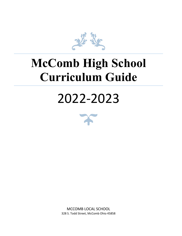

# **McComb High School Curriculum Guide**

# 2022-2023



MCCOMB LOCAL SCHOOL 328 S. Todd Street, McComb Ohio 45858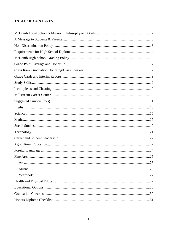#### **TABLE OF CONTENTS**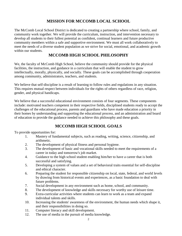# **MISSION FOR MCCOMB LOCAL SCHOOL**

The McComb Local School District is dedicated to creating a partnership where school, family, and community work together. We will provide the curriculum, instruction, and intervention necessary to develop all students to their fullest potential as confident, continual learners and future productive community members within a safe and supportive environment. We must all work collaboratively to meet the needs of a diverse student population as we strive for social, emotional, and academic growth within our students.

# **MCCOMB HIGH SCHOOL PHILOSOPHY**

We, the faculty of McComb High School, believe the community should provide for the physical facilities, the instruction, and guidance in a curriculum that will enable the student to grow intellectually, morally, physically, and socially. These goals can be accomplished through cooperation among community, administrators, teachers, and students.

We believe that self-discipline is a result of learning to follow rules and regulations in any situation. This requires mutual respect between individuals for the rights of others regardless of race, religion, gender, and physical handicaps.

We believe that a successful educational environment consists of four segments. These components include: motivated teachers competent in their respective fields, disciplined students ready to accept the challenges of the educational process, parents and guardians who have made education a priority in their homes by understanding and supporting the educational process, and an administration and board of education to provide the guidance needed to achieve this philosophy and these goals.

# **MCCOMB HIGH SCHOOL GOALS**

To provide opportunities for:

- 1. Mastery of fundamental subjects, such as reading, writing, science, citizenship, and arithmetic.
- 2. The development of physical fitness and personal hygiene.
- 3. The development of basic and vocational skills needed to meet the requirements of a career in today and tomorrow's job market.
- 4. Guidance to the high school student enabling him/her to have a career that is both successful and satisfying.
- 5. Developing a system of values and a set of behavioral traits essential for self-discipline and ethical character.
- 6. Preparing the student for responsible citizenship on local, state, federal, and world levels by drawing from historical events and experiences, as a basic foundation to deal with future problems.
- 7. Social development in any environment such as home, school, and community.
- 8. The development of knowledge and skills necessary for worthy use of leisure time.
- 9. Extra-curricular activities where students can learn to work as a team and expand individual talents and skills.
- 10. Increasing the students' awareness of the environment, the human needs which shape it, and their responsibilities in doing so.
- 11. Computer literacy and skill development.
- 12. The use of media in the pursuit of media knowledge.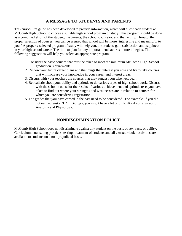# **A MESSAGE TO STUDENTS AND PARENTS**

This curriculum guide has been developed to provide information, which will allow each student at McComb High School to choose a suitable high school program of study. This program should be done as a combined effort of the student, the parents, the school counselor, and the faculty. Through the proper selection of courses, you can be assured that school will be more "interesting and meaningful to you." A properly selected program of study will help you, the student; gain satisfaction and happiness in your high school career. The time to plan for any important endeavor is before it begins. The following suggestions will help you select an appropriate program.

- 1. Consider the basic courses that must be taken to meet the minimum McComb High School graduation requirements.
- 2. Review your future career plans and the things that interest you now and try to take courses that will increase your knowledge in your career and interest areas.
- 3. Discuss with your teachers the courses that they suggest you take next year.
- 4. Be realistic about your ability and aptitude to do various types of high school work. Discuss with the school counselor the results of various achievement and aptitude tests you have taken to find out where your strengths and weaknesses are in relation to courses for which you are considering registration.
- 5. The grades that you have earned in the past need to be considered. For example, if you did not earn at least a "B" in Biology, you might have a lot of difficulty if you sign up for Anatomy and Physiology.

# **NONDISCRIMINATION POLICY**

McComb High School does not discriminate against any student on the basis of sex, race, or ability. Curriculum, counseling practices, testing, treatment of students and all extracurricular activities are available to students on a non-prejudicial basis.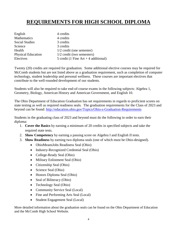# **REQUIREMENTS FOR HIGH SCHOOL DIPLOMA**

| English                   | 4 credits                              |
|---------------------------|----------------------------------------|
| Mathematics               | 4 credits                              |
| <b>Social Studies</b>     | 3 credits                              |
| Science                   | 3 credits                              |
| Health                    | $1/2$ credit (one semester)            |
| <b>Physical Education</b> | $1/2$ credit (two semesters)           |
| Electives                 | 5 credit (1 Fine $Art + 4$ additional) |

Twenty (20) credits are required for graduation. Some additional elective courses may be required for McComb students but are not listed above as a graduation requirement, such as completion of computer technology, student leadership and personal wellness. These courses are important electives that contribute to the well-rounded development of our students.

Students will also be required to take end-of-course exams in the following subjects: Algebra 1, Geometry, Biology, American History and American Government, and English 10.

The Ohio Department of Education Graduation has set requirements in regards to proficient scores on state testing as well as required readiness seals. The graduation requirements for the Class of 2023 and beyond can be found: <http://education.ohio.gov/Topics/Ohio-s-Graduation-Requirements>

Students in the graduating class of 2023 and beyond must do the following in order to earn their diploma:

- 1. **Cover the Basics** by earning a minimum of 20 credits in specified subjects and take the required state tests.
- 2. **Show Competency** by earning a passing score on Algebra I and English II tests.
- 3. **Show Readiness** by earning two diploma seals (one of which must be Ohio-designed).
	- OhioMeansJobs Readiness Seal (Ohio)
	- Industry-Recognized Credential Seal (Ohio)
	- College-Ready Seal (Ohio)
	- Military Enlistment Seal (Ohio)
	- Citizenship Seal (Ohio)
	- Science Seal (Ohio)
	- Honors Diploma Seal (Ohio)
	- Seal of Biliteracy (Ohio)
	- Technology Seal (Ohio)
	- Community Service Seal (Local)
	- Fine and Performing Arts Seal (Local)
	- Student Engagement Seal (Local)

More detailed information about the graduation seals can be found on the Ohio Department of Education and the McComb High School Website.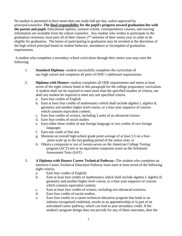No student is permitted to have more than one study hall per day, unless approved by principal/counselor. **The final responsibility for the pupil's progress toward graduation lies with the parent and pupil.** Educational options, summer school, correspondence courses, and tutoring information are available from the school counselor. Any student who wishes to participate in the graduation ceremony must pass all of their classes 2<sup>nd</sup> semester of their senior year in order to be eligible for graduation. The honor of participating in graduation may be revoked at the discretion of the high school principal based on student behavior, attendance or incomplete of graduation requirements.

A student who completes a secondary school curriculum through their senior year may earn the following:

- 1. **Standard Diploma**--student successfully completes the curriculum of any high school and completes all parts of ODE's additional requirements.
- 2. **Diploma with Honors--**student completes all ODE requirements and meets at least seven of the eight criteria listed in this paragraph for the college preparatory curriculum. A student shall not be required to meet more than the specified number of criteria, nor shall any student be required to meet any one specified criteria.
	- a. Earn four credits of English
	- b. Earn at least four credits of mathematics which shall include algebra I, algebra II, geometry and another higher level course, or a four-year sequence of courses which contains equivalent content;
	- c. Earn four credits of science, including 2 units of an advanced science
	- d. Earn four credits of social studies
	- e. Earn either three credits of one foreign language or two credits of two foreign languages
	- f. Earn one credit of fine arts
	- g. Maintain an overall high-school grade point average of at least 3.5 on a four point scale up to the last grading period of the senior year; or
	- h. Obtain a composite sc ore of twenty-seven on the American College Testing program (ACT) test or an equivalent composite score on the Scholastic Assessment Tests (SAT)
- 3. **A Diploma with Honors Career Technical Pathway--**The student who completes an intensive Career-Technical Education Pathway must meet at least seven of the following eight criteria:
	- a. Earn four credits of English;
	- b. Earn at least four credits of mathematics which shall include algebra I, algebra II, geometry and another higher level course, or a four-year sequence of courses which contains equivalent content;
	- c. Earn at least four credits of science, including two advanced sciences;
	- d. Earn four credits of social studies;
	- e. Earn four credits in a career-technical education program that leads to an industry-recognized credential, results in an apprenticeship or is part of an articulated career pathway, which can lead to post secondary credit. If the student's program design does not provide for any of these outcomes, then the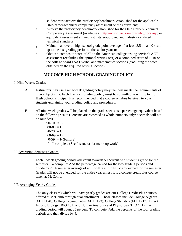student must achieve the proficiency benchmark established for the applicable Ohio career-technical competency assessment or the equivalent;

- f. Achieve the proficiency benchmark established for the Ohio Career-Technical Competency Assessment (available at [http://www.webxam.org/info\\_docs.asp\)](http://www.webxam.org/info_docs.asp) or equivalent assessment aligned with state-approved and industry validated technical standards;
- g. Maintain an overall high school grade point average of at least 3.5 on a 4.0 scale up to the last grading period of the senior year; or
- h. Obtain a composite score of 27 on the American college testing service's ACT assessment (excluding the optional writing test) or a combined score of 1210 on the college board's SAT verbal and mathematics sections (excluding the score obtained on the required writing section).

# **MCCOMB HIGH SCHOOL GRADING POLICY**

#### I. Nine Weeks Grades

- A. Instructors may use a nine-week grading policy they feel best meets the requirements of their subject area. Each teacher's grading policy must be submitted in writing to the High School Principal. It is recommended that a course syllabus be given to your students explaining your grading policy and procedures.
- B. All nine week grades will be placed on the grade sheets as a percentage equivalent based on the following scale: (Percents are recorded as whole numbers only; decimals will not be rounded).
	- $90-100 = A$  $80-89 = B$  $70-79 = C$  $60-69 = D$  $0-59$  = F (Failure) I - Incomplete (See Instructor for make-up work)

#### II. Averaging Semester Grades

Each 9 week grading period will count towards 50 percent of a student's grade for the semester. To compute: Add the percentage earned for the two grading periods and divide by 2. A semester average of an F will result in NO credit earned for the semester. Grades will not be averaged for the entire year unless it is a college credit plus course taken at McComb.

#### III. Averaging Yearly Grades

The only class(es) which will have yearly grades are our College Credit Plus courses offered at McComb through dual enrollment. Those classes include College Algebra (MTH 170), College Trigonometry (MTH 173), College Statistics (MTH 213), Life-An Intro to Biology (BIO 101) and Human Anatomy and Physiology (BIO 121). Each grading period will count 25 percent. To compute: Add the percents of the four grading periods and then divide by 4.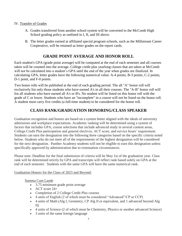#### IV. Transfer of Grades

- A. Grades transferred from another school system will be converted to the McComb High School grading policy as outlined in I, II, and III above.
- B. The letter grades earned at affiliated special program schools, such as the Millstream Career Cooperative, will be retained as letter grades on the report cards.

# **GRADE POINT AVERAGE AND HONOR ROLL**

Each student's GPA (grade point average) will be computed at the end of each semester and all courses taken will be counted into the average. College credit plus yearlong classes that are taken at McComb will not be calculated into a student's GPA until the end of the year when grades are finalized. In calculating GPA, letter grades have the following numerical value: A-4 points, B-3 points, C-2 points, D-1 point, and F-0 points.

Two honor rolls will be published at the end of each grading period. The all "A" honor roll will exclusively list only those students who have earned A's in all their courses. The "A-B" honor roll will list all students who have earned all A's or B's. No student will be listed on this honor roll with the grade of C or lower. Students who have an "incomplete" in a course will not be listed on the honor roll. A student must carry five credits (a full-time student) to be considered for the honor roll.

# **CLASS RANK/GRADUATION HONORING/CLASS SPEAKER**

Graduation recognition and honors are based on a system better aligned with the ideals of university admissions and workplace expectations. Academic ranking will be determined using a system of factors that includes GPA, course selections that include advanced study in several content areas, College Credit Plus participation and general electives, ACT score, and service hours' requirement. Students can earn the designation into the following three categories based on the specific criteria noted below. Students who do not meet all of the requirements of the highest designation will be considered for the next designation. Panther Academy students will not be eligible to earn this designation unless specifically approved by administration due to extenuation circumstances.

Please note: Deadline for the final submission of criteria will be May 1st of the graduation year. Class rank will be determined strictly by GPA and transcripts will reflect rank based solely on GPA at the end of each semester. Students with the same GPA will have the same numerical rank.

#### Graduation Honors for the Class of 2023 and Beyond:

#### Summa Cum Laude

- 3.75 minimum grade point average
- ACT score 24+
- Completion of 2 College Credit Plus courses
- 4 units of English (2 of which must be considered "Advanced"/CP or CCP)
- 4 units of Math (Alg I, Geometry, CP Alg II or equivalent, and 1 advanced beyond Alg II)
- 4 units of Science (2 of which must be Chemistry, Physics or another advanced Science)
- 3 units of the same foreign language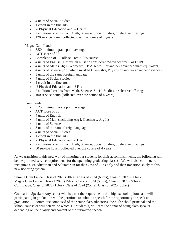- 4 units of Social Studies
- 1 credit in the fine arts
- $\frac{1}{2}$  Physical Education and  $\frac{1}{2}$  Health
- 2 additional credits from Math, Science, Social Studies, or elective offerings.
- 120 service hours (collected over the course of 4 years)

#### Magna Cum Laude

- 3.50 minimum grade point average
- ACT score of 22+
- Completion of 1 College Credit Plus course
- 4 units of English (1 of which must be considered "Advanced"/CP or CCP)
- 4 units of Math (Alg I, Geometry, CP Algebra II or another advanced math equivalent)
- 4 units of Science (2 of which must be Chemistry, Physics or another advanced Science)
- 3 units of the same foreign language
- 4 units of Social Studies
- 1 credit in the fine arts
- $\frac{1}{2}$  Physical Education and  $\frac{1}{2}$  Health
- 2 additional credits from Math, Science, Social Studies, or elective offerings.
- 100 service hours (collected over the course of 4 years)

#### Cum Laude

- 3.25 minimum grade point average
- ACT score of 20+
- 4 units of English
- 4 units of Math (including Alg I, Geometry, Alg II)
- 4 units of Science
- 3 units of the same foreign language
- 4 units of Social Studies
- 1 credit in the fine arts
- $\frac{1}{2}$  Physical Education and  $\frac{1}{2}$  Health
- 2 additional credits from Math, Science, Social Studies, or elective offerings.
- 50 service hours (collected over the course of 4 years)

As we transition to this new way of honoring our students for their accomplishments, the following will be the prorated service requirements for the upcoming graduating classes. We will also continue to recognize a Valedictorian and Salutatorian for the Class of 2023 only and then transition solely to this new honoring system.

Summa Cum Laude: Class of 2023 (30hrs), Class of 2024 (60hrs), Class of 2025 (90hrs) Magna Cum Laude: Class of 2023 (25hrs), Class of 2024 (50hrs), Class of 2025 (40hrs) Cum Laude: Class of 2023 (15hrs), Class of 2024 (25hrs), Class of 2025 (35hrs)

Graduation Speaker: Any senior who has met the requirements of a high school diploma and will be participating in graduation will be permitted to submit a speech for the opportunity to speak at graduation. A committee composed of the senior class advisor(s), the high school principal and the school counselor will determine which 1-2 student(s) will earn the honor of being class speaker depending on the quality and content of the submitted speech.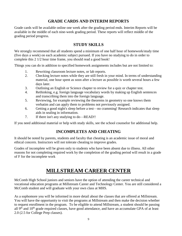# **GRADE CARDS AND INTERIM REPORTS**

Grade cards will be available online one week after the grading period ends. Interim Reports will be available in the middle of each nine-week grading period. These reports will reflect middle of the grading period progress.

# **STUDY SKILLS**

We strongly recommend that all students spend a minimum of one half hour of homework/study time (five days a week) on each academic subject pursued. If you have no studying to do in order to complete this 2 1/2 hour time frame, you should read a good book!

Things you can do in addition to specified homework assignments includes but are not limited to:

- 1. Rewriting classroom lecture notes, or lab reports.
- 2. Checking lecture notes while they are still fresh in your mind. In terms of understanding material, one hour spent as soon after a lecture as possible is worth several hours a few days later.
- 3. Outlining an English or Science chapter to review for a quiz or chapter test.
- 4. Rethinking, e.g. foreign language vocabulary words by making up English sentences and transcribing them into the foreign language.
- 5. Reviewing, for example reviewing the theorems in geometry so one knows them verbatim and can apply them to problems not previously assigned.
- 6. Getting a good night's sleep before a test—no cramming! Research indicates that sleep aids in sealing in information.
- 7. If there isn't any studying to do—READ!!

If you need additional material or help with study skills, see the school counselor for additional help.

# **INCOMPLETES AND CHEATING**

It should be noted by parents, students and faculty that cheating is an academic issue of moral and ethical concern. Instructors will not tolerate cheating to improve grades.

Grades of incomplete will be given only to students who have been absent due to illness. All other reasons for not completing required work by the completion of the grading period will result in a grade of F for the incomplete work

# **MILLSTREAM CAREER CENTER**

McComb High School juniors and seniors have the option of attending the career technical and vocational education programs at Millstream Career and Technology Center. You are still considered a McComb student and will graduate with your own class at MHS.

As a sophomore you will be informed in more detail about the classes that are offered at Millstream. You will have the opportunity to visit the programs at Millstream and then make the decision whether to request enrollment in the program. To be eligible to attend Millstream, a student should be passing all  $9<sup>th</sup>$  and  $10<sup>th</sup>$  grade required classes, have good attendance, and have an accumulate GPA of at least 2.0 (2.5 for College Prep classes).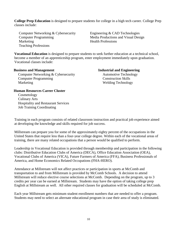**College Prep Education** is designed to prepare students for college in a high tech career. College Prep classes include:

Computer Networking & Cybersecurity Engineering & CAD Technologies Computer Programming Media Productions and Visual Design Marketing Health Professions Teaching Professions

**Vocational Education** is designed to prepare students to seek further education at a technical school, become a member of an apprenticeship program, enter employment immediately upon graduation. Vocational classes include:

#### **Business and Management Industrial and Engineering**

Computer Networking & Cybersecurity Automotive Technology **Computer Programming Construction Skills** Marketing Welding Technology

#### **Human Resources Career Cluster**

 Cosmetology Culinary Arts Hospitality and Restaurant Services Job Training Coordinating

Training in each program consists of related classroom instruction and practical job experience aimed at developing the knowledge and skills required for job success.

Millstream can prepare you for some of the approximately eighty percent of the occupations in the United States that require less than a four-year college degree. Within each of the vocational areas of training, there are many related occupations that a person would be qualified to perform.

Leadership in Vocational Education is provided through membership and participation in the following clubs: Distributive Education Clubs of America (DECA), Office Education Association (OEA), Vocational Clubs of America (VICA), Future Farmers of America (FFA), Business Professionals of America, and Home Economics Related Occupations (FHA-HERO).

Attendance at Millstream will not affect practices or participation in sports at McComb and transportation to and from Millstream is provided by McComb Schools. A decision to attend Millstream will reduce elective course selections at McComb. Depending on the program, up to 3 credits per year can be earned at Millstream. Students may have the option of taking college prep English at Millstream as well. All other required classes for graduation will be scheduled at McComb.

Each year Millstream gets minimum student enrollment numbers that are needed to offer a program. Students may need to select an alternate educational program in case their area of study is eliminated.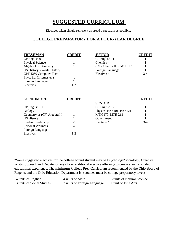# **SUGGESTED CURRICULUM**

Electives taken should represent as broad a spectrum as possible.

## **COLLEGE PREPARATORY FOR A FOUR-YEAR DEGREE**

| <b>FRESHMAN</b><br>CP English 9<br><b>Physical Science</b><br>Algebra I or Geometry<br>US History I/World History<br>CPT 1250 Computer Tech<br>Phys. Ed. (1 semester)<br>Foreign Language<br>Electives | <b>CREDIT</b><br>1/4<br>$1-2$ | <b>JUNIOR</b><br>CP English 11<br>Chemistry<br>(CP) Algebra II or MTH 170<br>Foreign Language<br>Electives* | <b>CREDIT</b><br>$3-4$ |
|--------------------------------------------------------------------------------------------------------------------------------------------------------------------------------------------------------|-------------------------------|-------------------------------------------------------------------------------------------------------------|------------------------|
| <b>SOPHOMORE</b>                                                                                                                                                                                       | <b>CREDIT</b>                 | <b>SENIOR</b>                                                                                               | <b>CREDIT</b>          |
| CP English 10                                                                                                                                                                                          |                               | CP English 12                                                                                               |                        |
| <b>Biology</b>                                                                                                                                                                                         |                               | Physics, BIO 101, BIO 121                                                                                   |                        |
| Geometry or (CP) Algebra II                                                                                                                                                                            |                               | MTH 170, MTH 213                                                                                            |                        |
| <b>US History II</b>                                                                                                                                                                                   |                               | Government                                                                                                  |                        |
| <b>Student Leadership</b>                                                                                                                                                                              | $\frac{1}{2}$                 | Electives*                                                                                                  | $3-4$                  |
| <b>Personal Wellness</b>                                                                                                                                                                               | $\frac{1}{2}$                 |                                                                                                             |                        |
| Foreign Language                                                                                                                                                                                       |                               |                                                                                                             |                        |
| Electives                                                                                                                                                                                              | $1 - 2$                       |                                                                                                             |                        |

\*Some suggested electives for the college bound student may be Psychology/Sociology, Creative Writing/Speech and Debate, or any of our additional elective offerings to create a well-rounded educational experience. The **minimum** College Prep Curriculum recommended by the Ohio Board of Regents and the Ohio Education Department is: (courses must be college preparatory level)

| 4 units of English        | 4 units of Math             | 3 units of Natural Science |
|---------------------------|-----------------------------|----------------------------|
| 3 units of Social Studies | 2 units of Foreign Language | 1 unit of Fine Arts        |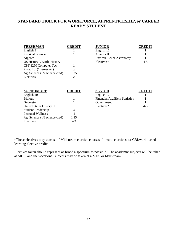## **STANDARD TRACK FOR WORKFORCE, APPRENTICESHIP, or CAREER READY STUDENT**

| <b>FRESHMAN</b>                | <b>CREDIT</b> | <b>JUNIOR</b>             | CREDIT  |
|--------------------------------|---------------|---------------------------|---------|
| English 9                      |               | English 11                |         |
| <b>Physical Science</b>        |               | Algebra II                |         |
| Algebra 1                      |               | Environ. Sci or Astronomy |         |
| US History I/World History     |               | Electives*                | $4 - 5$ |
| CPT 1250 Computer Tech         |               |                           |         |
| Phys. Ed. (1 semester)         | 1/4           |                           |         |
| Ag. Science (1/2 science cred) | 1.25          |                           |         |
| Electives                      |               |                           |         |
|                                |               |                           |         |

| <b>SOPHOMORE</b>               | <b>CREDIT</b> | <b>SENIOR</b>                        | REI     |
|--------------------------------|---------------|--------------------------------------|---------|
| English 10                     |               | English 12                           |         |
| <b>Biology</b>                 |               | <b>Financial Alg/Elem Statistics</b> |         |
| Geometry                       |               | Government                           |         |
| United States History II       |               | Electives*                           | $4 - 5$ |
| <b>Student Leadership</b>      | $\frac{1}{2}$ |                                      |         |
| <b>Personal Wellness</b>       | $\frac{1}{2}$ |                                      |         |
| Ag. Science (1/2 science cred) | 1.25          |                                      |         |
| Electives                      | $2 - 3$       |                                      |         |

| <b>SOPHOMORE</b>         | CREDIT | <b>SENIOR</b>                 | <b>CREDIT</b> |
|--------------------------|--------|-------------------------------|---------------|
| English 10               |        | English 12                    |               |
| Biology                  |        | Financial Alg/Elem Statistics |               |
| Geometry                 |        | Government                    |               |
| United States History II |        | Electives*                    | $4 - 5$       |
| .                        |        |                               |               |

\*These electives may consist of Millstream elective courses, fine/arts electives, or CBI/work-based learning elective credits.

Electives taken should represent as broad a spectrum as possible. The academic subjects will be taken at MHS, and the vocational subjects may be taken at a MHS or Millstream.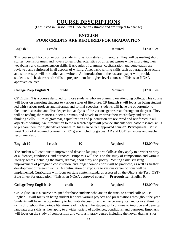# **COURSE DESCRIPTIONS**

(Fees listed in Curriculum Guide are an estimate and are subject to change)

#### **ENGLISH FOUR CREDITS ARE REQUIRED FOR GRADUATION**

| <b>English 9</b> | 1 credit | Required                                                                                                  | \$12.00 Fee |
|------------------|----------|-----------------------------------------------------------------------------------------------------------|-------------|
|                  |          | This course will focus on exposing students to various styles of literature. They will be reading short   |             |
|                  |          | stories, poems, dramas, and novels to learn characteristics of different genres while improving their     |             |
|                  |          | vocabulary and comprehension skills. Basic rules of grammar, capitalization and punctuation are           |             |
|                  |          | reviewed and reinforced in all aspects of writing. Also, basic writing skills such as paragraph structure |             |
|                  |          | and short essays will be studied and written. An introduction to the research paper will provide          |             |
|                  |          | students with basic research skills to prepare them for higher-level courses. *This is an NCAA            |             |
| approved course* |          |                                                                                                           |             |

| <b>College Prep English 9</b> | credit |  | Required | \$12.00 Fee |
|-------------------------------|--------|--|----------|-------------|
|-------------------------------|--------|--|----------|-------------|

CP English 9 is a course designed for those students who are planning on attending college. This course will focus on exposing students to various styles of literature. CP English 9 will focus on being student led with various projects and informal and formal speeches. Students will have the opportunity to facilitate discussion and dive deeper into analysis of the various genres read throughout the year. They will be reading short stories, poems, dramas, and novels to improve their vocabulary and critical thinking skills. Rules of grammar, capitalization and punctuation are reviewed and reinforced in all aspects of writing. An introduction to the research paper will provide students with basic research skills to prepare them for higher-level courses. \*This is an NCAA approved course\* **Prerequisite:** Must meet 3 out of 4 required criteria from 8<sup>th</sup> grade including grades, AR and OST test scores and teacher recommendation.

| <b>English 10</b> | credit | Required | \$12.00 Fee |
|-------------------|--------|----------|-------------|
|                   |        |          |             |

The student will continue to improve and develop language arts skills as they apply to a wider variety of audiences, conditions, and purposes. Emphasis will focus on the study of composition and various literary genres including the novel, dramas, short story and poetry. Writing skills stressing improvement of paragraph construction, and longer compositions will be practiced, as well as further development of research skills. A continuation of exposure to various career options will be implemented. Curriculum will focus on state content standards assessed on the Ohio State Test (OST) ELA II test for graduation. \*This is an NCAA approved course\* **Prerequisite:** English 9.

| <b>College Prep English 10</b> | credit |  | Required | \$12.00 Fee |
|--------------------------------|--------|--|----------|-------------|
|--------------------------------|--------|--|----------|-------------|

CP English 10 is a course designed for those students who are on the track to attend college. CP English 10 will focus on being student led with various projects and presentations throughout the year. Students will have the opportunity to facilitate discussion and enhance analytical and critical thinking skills throughout the various literature read in class. The student will continue to improve and develop language arts skills as they apply to a wider variety of audiences, conditions, and purposes. Emphasis will focus on the study of composition and various literary genres including the novel, dramas, short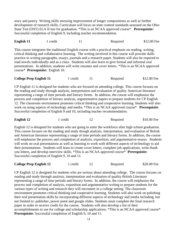story and poetry. Writing skills stressing improvement of longer compositions as well as further development of research skills. Curriculum will focus on state content standards assessed on the Ohio State Test (OST) ELA II test for graduation. \*This is an NCAA approved course\* **Prerequisite:** Successful completion of English 9, including teacher recommendation.

**English 11** 1 credit 11 Required \$12.00 Fee

This course integrates the traditional English course with a practical emphasis on reading, writing, critical thinking and collaborative learning. The writing involved in this course will provide skills practice in writing paragraphs, essays, journals and a research paper. Students will also be required to read novels individually and as a class. Students will also learn to give formal and informal oral presentations. In addition, students will write resumes and cover letters. \*This is an NCAA approved course\* **Prerequisite:** English 10.

| <b>College Prep English 11</b> | l credit | Required | \$12.00 Fee |
|--------------------------------|----------|----------|-------------|
|                                |          |          |             |

CP English 11 is designed for students who are focused on attending college. This course focuses on the reading and study through analysis, interpretation and evaluation of quality American literature representing a range of time periods and literary forms. In addition, the course will emphasize the process and completion of literary analysis, argumentative papers to prepare students for CP English 12. The classroom environment promotes critical thinking and cooperative learning. Students will also work on using aspects of technology and media. \*This is an NCAA approved course\* **Prerequisite**: Successful completion of English 9 and 10, including teacher recommendation.

|  | English 12 | credit |  | Required | \$10.00 Fee |
|--|------------|--------|--|----------|-------------|
|--|------------|--------|--|----------|-------------|

English 12 is designed for students who are going to enter the workforce after high school graduation. This course focuses on the reading and study though analysis, interpretation, and evaluation of British and American literature representing a range of time periods and literary forms. In addition, the course will emphasize the process and completion of analysis, exposition, and argumentative essays. Students will work on oral presentations as well as learning to work with different aspects of technology to aid their presentations. Students will learn to create cover letters, complete job applications, write thank you letters, and develop interview skills. \*This is an NCAA approved course\* **Prerequisite:** Successful completion of English 9, 10 and 11.

| <b>College Prep English 12</b> | 1 credit |  | Required | \$20.00 Fee |
|--------------------------------|----------|--|----------|-------------|
|--------------------------------|----------|--|----------|-------------|

CP English 12 is designed for students who are serious about attending college. The course focuses on reading and study through analysis, interpretation and evaluation of quality British Literature representing a range of time periods and literary forms. In addition, the course will emphasize the process and completion of analysis, exposition and argumentative writing to prepare students for the various types of writing and research they will encounter in a college setting. The classroom environment promotes critical thinking and cooperative learning. Students will also work on polishing their oral presentation skills by incorporating different aspects of technology and media including, but not limited to: publisher, power point and google slides. Students must complete the final research paper in order to receive credit for the course. Students will also develop a list of their accomplishments to use for college and scholarship applications. \*This is an NCAA approved course\* **Prerequisite**: Successful completion of English 9, 10 and 11.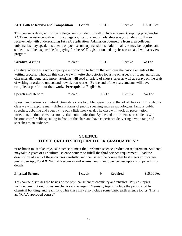| <b>ACT College Review and Composition</b> | 1 credit | $10-12$ | Elective | \$25.00 Fee |
|-------------------------------------------|----------|---------|----------|-------------|
|-------------------------------------------|----------|---------|----------|-------------|

This course is designed for the college-bound student. It will include a review (prepping program for ACT) and assistance with writing college applications and scholarship essays. Students will also receive help with understanding FAFSA application. Admission counselors from area colleges/ universities may speak to students on post-secondary transitions. Additional fees may be required and students will be responsible for paying for the ACT registration and any fees associated with a review program.

| <b>Creative Writing</b> | $\frac{1}{2}$ credit | $10-12$ | Elective | No Fee |
|-------------------------|----------------------|---------|----------|--------|
|-------------------------|----------------------|---------|----------|--------|

Creative Writing is a workshop-style introduction to fiction that explores the basic elements of the writing process. Through this class we will write short stories focusing on aspects of scene, narration, character, dialogue, and more. Students will read a variety of short stories as well as essays on the craft of writing in order to understand how fiction works. By the end of the year, students will have compiled a portfolio of their work. **Prerequisite:** English 9.

| <b>Speech and Debate</b> | $\frac{1}{2}$ credit | $10-12$ | Elective | No Fee |
|--------------------------|----------------------|---------|----------|--------|
|                          |                      |         |          |        |

Speech and debate is an introduction style class to public speaking and the art of rhetoric. Through this class we will explore many different forms of public speaking such as monologues, famous public speeches, debating and even trying out a little mock trial. The class will work on presentation, inflection, diction, as well as non-verbal communication. By the end of the semester, students will become comfortable speaking in front of the class and have experience delivering a wide range of speeches to an audience.

### **SCIENCE THREE CREDITS REQUIRED FOR GRADUATION \***

\*Freshmen must take Physical Science to meet the Freshmen science graduation requirement. Students may take 2 years of agricultural science courses to fulfill the third science requirement. Read the description of each of these courses carefully, and then select the course that best meets your career goals. See Ag., Food & Natural Resources and Animal and Plant Science descriptions on page 19 for details.

|  | 1 credit |  | Required | \$15.00 Fee |
|--|----------|--|----------|-------------|
|--|----------|--|----------|-------------|

This course discusses the basics of the physical sciences chemistry and physics. Physics topics included are motion, forces, mechanics and energy. Chemistry topics include the periodic table, chemical bonding, and reactivity. This class may also include some basic earth science topics. This is an NCAA approved course\*

**Physical Science**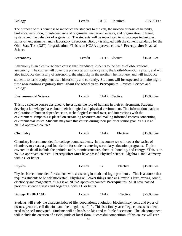| <b>Biology</b>                                                                                                                                                                                                                                                                                                                                                                                                                                                                                                                           | 1 credit | $10-12$   | Required       | \$15.00 Fee |  |  |
|------------------------------------------------------------------------------------------------------------------------------------------------------------------------------------------------------------------------------------------------------------------------------------------------------------------------------------------------------------------------------------------------------------------------------------------------------------------------------------------------------------------------------------------|----------|-----------|----------------|-------------|--|--|
| The purpose of this course is to introduce the students to the cell, the molecular basis of heredity,<br>biological evolution, interdependence of organisms, matter and energy, and organization in living<br>systems and the behavior of organisms. The students will be introduced to microscope techniques,<br>hands-on experiments, and a laboratory dissection. Biology is aligned with the content standards for the<br>Ohio State Test (OST) for graduation. *This is an NCAA approved course* Prerequisite: Physical<br>Science  |          |           |                |             |  |  |
| <b>Astronomy</b>                                                                                                                                                                                                                                                                                                                                                                                                                                                                                                                         | 1 credit |           | 11-12 Elective | \$15.00 Fee |  |  |
| Astronomy is an elective science course that introduces students to the basics of observational<br>astronomy. The course will cover the planets of our solar system, the Earth-Moon-Sun system, and will<br>also introduce the history of astronomy, the night sky in the northern hemisphere, and will introduce<br>students to basic equipment used historically and currently. Students will be expected to make night-<br>time observations regularly throughout the school year. Prerequisite: Physical Science and<br>Biology.     |          |           |                |             |  |  |
| <b>Environmental Science</b>                                                                                                                                                                                                                                                                                                                                                                                                                                                                                                             | 1 credit |           | 11-12 Elective | \$15.00 Fee |  |  |
| This is a science course designed to investigate the role of humans in their environment. Students<br>develop a knowledge base about their biological and physical environment. This information leads to<br>exploration of human dependence on, technological control over, and interactions with the<br>environment. Emphasis is placed on sustaining resources and making informed choices concerning<br>environmental issues. Students may take this course during their junior or senior year. *This is an<br>NCAA approved course* |          |           |                |             |  |  |
| <b>Chemistry</b>                                                                                                                                                                                                                                                                                                                                                                                                                                                                                                                         | 1 credit | $11 - 12$ | Elective       | \$15.00 Fee |  |  |
| Chemistry is recommended for college bound students. In this course we will cover the basics of<br>chemistry to create a good foundation for students entering secondary education programs. Topics<br>equated in data include the periodic table, eternic structure chamical bonding and energy *This is an                                                                                                                                                                                                                             |          |           |                |             |  |  |

covered in detail include the periodic table, atomic structure, chemical bonding, and energy. \*This is an NCAA approved course\* **Prerequisite:** Must have passed Physical science, Algebra 1 and Geometry with a C or better.

**Physics** 1 credit 12 Elective \$15.00 Fee Physics is recommended for students who are strong in math and logic problems. This is a course that requires students to be self motivated. Physics will cover things such as Newton's laws, waves, sound, electricity and magnetism. \*This is an NCAA approved course\* **Prerequisites:** Must have passed previous science classes and Algebra II with a C or better.

| <b>Biology II (BIO 101)</b> | 1 credit | $11 - 12$ | Elective | \$25.00 Fee |
|-----------------------------|----------|-----------|----------|-------------|
|-----------------------------|----------|-----------|----------|-------------|

Students will study the characteristics of life, populations, evolution, biochemistry, cells and types of tissues, genetics, cell division, and the kingdoms of life. This is a first-year college course so students need to be self-motivated. Students will do hands-on labs and multiple dissections. The lab component will include the creation of a field guide of local flora. Successful competition of this course will earn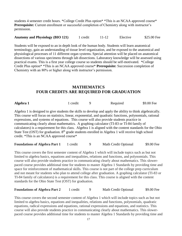students 4 semester credit hours. \*College Credit Plus option\* \*This is an NCAA approved course\* **Prerequisite:** Current enrollment or successful completion of Chemistry along with instructor's permission.

#### Anatomy and Physiology **(BIO 121)** 1 credit 11-12 Elective \$25.00 Fee

Students will be exposed to an in depth look of the human body. Students will learn anatomical terminology, gain an understanding of tissue level organization, and be exposed to the anatomical and physiological processes of 11 different organ systems. Special attention will be placed on anatomical dissections of various specimens through lab dissections. Laboratory knowledge will be assessed using practical exams. This is a first year college course so students should be self-motivated. \*College Credit Plus option\* \*This is an NCAA approved course\* **Prerequisite:** Succession completion of Chemistry with an 80% or higher along with instructor's permission.

#### **MATHEMATICS FOUR CREDITS ARE REQUIRED FOR GRADUATION**

| Algebra 1                                                                                                      | 1 credit | 9 | Required | \$9.00 Fee |
|----------------------------------------------------------------------------------------------------------------|----------|---|----------|------------|
| Algebra 1 is designed to give students the skills to develop and apply the ability to think algebraically.     |          |   |          |            |
| This course will focus on statistics, linear, exponential, and quadratic functions, polynomials, rational      |          |   |          |            |
| expressions, and systems of equations. This course will also provide students practice in                      |          |   |          |            |
| communicating clearly about mathematics. A graphing calculator (TI-83 or TI-84 family of                       |          |   |          |            |
| calculators) is a requirement for this class. Algebra 1 is aligned with the content standards for the Ohio     |          |   |          |            |
| State Test (OST) for graduation. 8 <sup>th</sup> grade students enrolled in Algebra 1 will receive high school |          |   |          |            |
| credit. *This is an NCAA approved course*                                                                      |          |   |          |            |
|                                                                                                                |          |   |          |            |

**Foundations of Algebra Part 1** 1 credit 9 Math Credit Optional \$9.00 Fee

This course covers the first semester content of Algebra 1 which will include topics such as but not limited to algebra basics, equations and inequalities, relations and functions, and polynomials. This course will also provide students practice in communicating clearly about mathematics. This slowerpaced course provides additional time for students to master Algebra 1 Standards by providing time and space for reinforcement of mathematical skills. This course is not part of the college prep curriculum and not meant for students who plan to attend college after graduation. A graphing calculator (TI-83 or TI-84 family of calculators) is a requirement for this class. This course is aligned with the content standards for the Ohio State Test (OST) for graduation.

**Foundations of Algebra Part 2** 1 credit 9 Math Credit Optional \$9.00 Fee

This course covers the second semester content of Algebra 1 which will include topics such as but not limited to algebra basics, equations and inequalities, relations and functions, polynomials, quadratic equations, radical expressions and equations, rational expressions and equations, and statistics. This course will also provide students practice in communicating clearly about mathematics. This slowerpaced course provides additional time for students to master Algebra 1 Standards by providing time and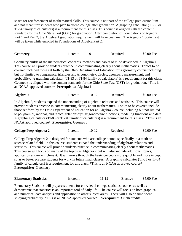space for reinforcement of mathematical skills. This course is not part of the college prep curriculum and not meant for students who plan to attend college after graduation. A graphing calculator (TI-83 or TI-84 family of calculators) is a requirement for this class. This course is aligned with the content standards for the Ohio State Test (OST) for graduation. After completion of Foundations of Algebra Part 1 and Part 2, the Algebra 1 graduation requirement will have been met. The Algebra 1 State Test will be taken while enrolled in Foundations of Algebra Part 2.

| <b>Geometry</b> | redit |  | Required | \$9.00 Fee |
|-----------------|-------|--|----------|------------|
|-----------------|-------|--|----------|------------|

Geometry builds of the mathematical concepts, methods and habits of mind developed in Algebra I. This course will provide students practice in communicating clearly about mathematics. Topics to be covered included those set forth by the Ohio Department of Education for a geometry course including but not limited to congruence, triangles and trigonometry, circles, geometric measurement, and probability. A graphing calculator (TI-83 or TI-84 family of calculators) is a requirement for this class. Geometry is aligned with the content standards for the Ohio State Test (OST) for graduation. \*This is an NCAA approved course\* **Prerequisite:** Algebra 1

| Algebra 2 | . credit | Required | \$9.00 Fee |
|-----------|----------|----------|------------|
|           |          |          |            |

In Algebra 2, students expand the understanding of algebraic relations and statistics. This course will provide students practice in communicating clearly about mathematics. Topics to be covered include those set forth by the Ohio Department of Education for an Algebra 2 course including but not limited to polynomial, rational, and radical relationships, trigonometric functions, modeling functions and data. A graphing calculator (TI-83 or TI-84 family of calculators) is a requirement for this class.\*This is an NCAA approved course\* **Prerequisite:** Geometry

| <b>College Prep Algebra 2</b> | 1 credit |  | Required | \$9.00 Fee |
|-------------------------------|----------|--|----------|------------|
|-------------------------------|----------|--|----------|------------|

College Prep Algebra 2 is designed for students who are college bound, specifically in a math or science related field. In this course, students expand the understanding of algebraic relations and statistics. This course will provide students practice in communicating clearly about mathematics. This course will focus on many of the topics as Algebra 2 but will also include additional topics, application and/or enrichment. It will move through the basic concepts more quickly and more in depth so as to better prepare students for work in future math classes. A graphing calculator (TI-83 or TI-84 family of calculators) is a requirement for this class. \*This is an NCAA approved course\* **Prerequisite:** Geometry

| <b>Elementary Statistics</b> | $\frac{1}{2}$ credit | $11 - 12$ | Elective | \$5.00 Fee |
|------------------------------|----------------------|-----------|----------|------------|
|------------------------------|----------------------|-----------|----------|------------|

Elementary Statistics will prepare students for entry level college statistics courses as well as demonstrate that statistics is an important tool of daily life. The course will focus on both graphical and numerical data analysis and application to other subject areas. There will also be time spent studying probability. \*This is an NCAA approved course\* **Prerequisite:** 3 math credits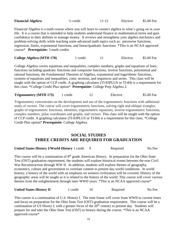| <b>Financial Algebra</b> | $\frac{1}{2}$ credit | $11 - 12$ | Elective | \$5.00 Fee |
|--------------------------|----------------------|-----------|----------|------------|
|--------------------------|----------------------|-----------|----------|------------|

Financial Algebra is a math course where you will learn to connect algebra to what's going on in your life. It is a course that is intended to help students understand finance in mathematical terms and gain confidence in their abilities to manage money. It reviews and strengthens your algebra mechanics and problem-solving skills while teaching some advanced math topics such as: piecewise functions, regression, limits, exponential functions, and linear/quadratic functions. \*This is an NCAA approved course\* **Prerequisite:** 3 math credits

| <b>College Algebra (MTH 170)</b> | 1 credit | Elective | \$5.00 Fee |
|----------------------------------|----------|----------|------------|
|                                  |          |          |            |

College Algebra covers equations and inequalities, complex numbers, graphs and equations of lines, functions including quadratic functions and composite functions, inverse functions, polynomial and rational functions, the Fundamental Theorem of Algebra, exponential and logarithmic functions, systems of equations and inequalities, conic sections, and sequences and series. This class will be taught with the option of CCP credit. A graphing calculator (TI-83PLUS or TI-84) is a requirement for this class. \*College Credit Plus option\* **Prerequisite**: College Prep Algebra 2.

**Trigonometry (MTH 173)** 1 credit 12 Elective \$5.00 Fee

Trigonometry concentrates on the development and use of the trigonometric functions with additional study of vectors. The course will cover trigonometric functions, solving right and oblique triangles, graphs of trigonometric functions, identities, trigonometric equations, inverse trigonometric functions, complex numbers, polar coordinates and graphs, and vectors. This class will be taught with the option of CCP credit. A graphing calculator (TI-83PLUS or TI-84) is a requirement for this class. \*College Credit Plus option\* **Prerequisite**: College Algebra.

## **SOCIAL STUDIES THREE CREDITS ARE REQUIRED FOR GRADUATION**

| <b>United States History I/World History 1 credit 9</b> |  | Required | No Fee |
|---------------------------------------------------------|--|----------|--------|
|---------------------------------------------------------|--|----------|--------|

This course will be a continuation of  $8<sup>th</sup>$  grade American History. In preparation for the Ohio State Test (OST) graduation requirement, the students will explore historical events between the eras Civil War Reconstruction through WW II. In addition, students will explore themes of geography, economics, culture and government to correlate content to present day world conditions. In world history, a history of the world with an emphasis on western civilization will be covered. History of the geographic areas will be taught as it is related to the history of the world. This course will cover various themes from the enlightenment through inter-WWII years. \*This is an NCAA approved course\*

**United States History II** 1 credit 10 Required No Fee

This course is a continuation of U.S. History I. The time frame will cover from WWII to current times and focus on preparation for the Ohio State Test (OST) graduation requirement. This course will be a continuation of US Hisory I, with a greater focus of the 20<sup>th</sup> century to present day. Students will prepare for and take the Ohio State Test (OST) in history during the course. \*This is an NCAA approved course\*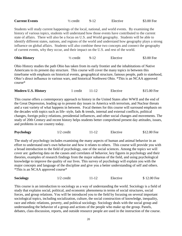| <b>Current Events</b>                                                                                                                                                                          | $\frac{1}{2}$ credit | $9 - 12$ | Elective | \$3.00 Fee |
|------------------------------------------------------------------------------------------------------------------------------------------------------------------------------------------------|----------------------|----------|----------|------------|
| Students will study current happenings of the local, national, and world events. By examining the                                                                                              |                      |          |          |            |
| history of various topics, students will understand how those events have contributed to the current                                                                                           |                      |          |          |            |
| state of affairs. There will also be a focus on U.S. and World geography. Students will be able to                                                                                             |                      |          |          |            |
| identify different states, nations, and regions of the world and understand how geography plays a strong                                                                                       |                      |          |          |            |
| influence on global affairs. Students will also combine these two concepts and connect the geography<br>of current events, why they occur, and their impact on the U.S. and rest of the world. |                      |          |          |            |
|                                                                                                                                                                                                |                      |          |          |            |

| <b>Ohio History</b> | $\frac{1}{2}$ credit | Elective | \$3.00 Fee |
|---------------------|----------------------|----------|------------|
|                     |                      |          |            |

Ohio History studies the path Ohio has taken from its early frontier and the inhabitations of Native Americans to its present day structure. This course will cover the many topics in between this timeframe with emphasis on historical events, geographical structure, famous people, path to statehood, Ohio's direct influence in various wars, and historical Northwest Ohio. \*This is an NCAA approved course\*

| <b>Modern U.S. History</b> | r credit |  | Elective | \$15.00 Fee |
|----------------------------|----------|--|----------|-------------|
|----------------------------|----------|--|----------|-------------|

This course offers a contemporary approach to history in the United States after WWII and the end of the Great Depression, leading up to present day issues in America with terrorism, and Nuclear threats and a vast variety of what happens in between. Focal themes for this course will surround emphasis on the decades with topics such as life- style, fads & trends, internal and external conflicts, political changes, foreign policy relations, presidential influences, and other social changes and movements. The study of 20th Century and recent history helps students better comprehend present day attitudes, issues, and problems in our country today.

| <b>Psychology</b><br>$1/2$ credit<br>Elective | \$12.00 Fee |
|-----------------------------------------------|-------------|
|-----------------------------------------------|-------------|

The study of psychology includes examining the many aspects of human and animal behavior in an effort to understand one's own behavior and how it relates to others. This course will provide you with a broad introduction to the field of psychology, one of the social sciences. Among the topics we will cover are: gathering data on the causes and correlates of behavior, key figures in psychology and their theories, examples of research findings from the major subareas of the field, and using psychological knowledge to improve the quality of our lives. This survey of psychology will explain you with the major concepts and language of the discipline and give you a better understanding of self and others. \*This is an NCAA approved course\*

| <b>Sociology</b> | $1/2$ credit | 11-12 | Elective | \$12.00 Fee |
|------------------|--------------|-------|----------|-------------|
|------------------|--------------|-------|----------|-------------|

This course is an introduction to sociology as a way of understanding the world. Sociology is a field of study that explains social, political, and economic phenomena in terms of social structures, social forces, and group relations. You will be introduced you to the field by focusing on several important sociological topics, including socialization, culture, the social construction of knowledge, inequality, race and ethnic relations, poverty, and political sociology. Sociology deals with the social group and understanding the behavior of a group and actions of the people who make up the group. Panels, debates, class discussion, reports, and outside resource people are used in the instruction of the course.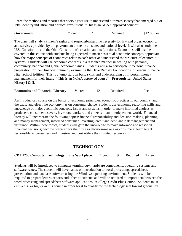Learn the methods and theories that sociologists use to understand our mass society that emerged out of 19th -century industrial and political revolutions. \*This is an NCAA approved course\*

| Government<br>\$12.00 Fee<br>½ credit<br>Required |
|---------------------------------------------------|
|---------------------------------------------------|

The class will study a citizen's rights and responsibilities, the necessity for law and order, economy, and services provided by the government at the local, state, and national level. It will also study the U.S. Constitution and the Ohio Constitution's creation and its functions. Economics will also be covered in this course with students being expected to master essential economic concepts, appreciate how the major concepts of economics relate to each other and understand the structure of economic systems. Students will use economic concepts in a reasoned manner in dealing with personal, community, national and global economic issues. Students will also participate in personal finance preparation for their financial future by examining the Dave Ramsey Foundations in Personal Finance High School Edition. This is a jump start on basic skills and understanding of important money management for their future. \*This is an NCAA approved course\* **Prerequisite:** United States History I & II.

**Economics and Financial Literacy**  $\frac{1}{2}$  credit 12 Required Fee

An introductory course on the basics of economic principles, economic practices in our country, and the cause and effect the economy has on consumer choice. Students use economic reasoning skills and knowledge of major economic concepts, issues and systems in order to make informed choices as producers, consumers, savers, investors, workers and citizens in an interdependent world. Financial literacy will incorporate the following topics: financial responsibility and decision-making, planning and money management, informed consumer, investing, credit and debt, and risk management and insurance. Within these topics, students will gain the knowledge to make informed and reasoned financial decisions; become prepared for their role as decision-makers as consumers; learn to act responsibly as consumers and investors and best utilize their limited resources.

### **TECHNOLOGY**

#### **CPT 1250 Computer Technology in the Workplace** 1 credit 9 Required No fee

Students will be introduced to computer terminology, hardware components, operating systems and software issues. The student will have hands-on introduction to word processing, spreadsheet, presentation and database software using the Windows operating environment. Students will be required to prepare letters, reports and other documents and will be required to import data between the word processing and spreadsheet software applications. \*College Credit Plus Course. Students must earn a "B" or higher in this course in order for it to qualify for the technology seal toward graduation.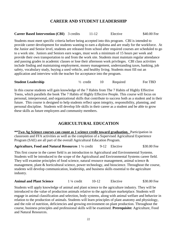# **CAREER AND STUDENT LEADERSHIP**

#### **Career Based Intervention (CBI)** 3 credits 11-12 Elective \$40.00 Fee

Students must meet specific criteria before being accepted into this program. CBI is intended to provide career development for students wanting to earn a diploma and are ready for the workforce. At the Junior and Senior level, students are released from school after required courses are scheduled to go to a work site. Juniors and Seniors earn wages, must work a minimum of 15 hours per week and provide their own transportation to and from the work site. Students must maintain regular attendance and passing grades in academic classes or lose their afternoon work privileges. CBI class activities include finding and maintaining employment, money management, understanding taxes, banking, job safety, vocabulary study, buying a used vehicle, and healthy living. Students must fill out an application and interview with the teacher for acceptance into the program.

| <b>Student Leadership</b> | $\frac{1}{2}$ credit |  | Required | Fee TBD |
|---------------------------|----------------------|--|----------|---------|
|---------------------------|----------------------|--|----------|---------|

In this course students will gain knowledge of the 7 Habits from The 7 Habits of Highly Effective Teens, which parallels the book The 7 Habits of Highly Effective People. This course will focus on personal, interpersonal, and organizational skills that contribute to success both as a student and in their future. This course is designed to help students reflect upon integrity, responsibility, planning, and personal discipline. Students will develop life skills in their career as a student and be able to grow these skills as future employees and community members.

# **AGRICULTURAL EDUCATION**

**\*\*Two Ag Science courses can count as 1 science credit toward graduation.** Participation in classroom and FFA activities as well as the completion of a Supervised Agricultural Experience Program (SAE) are all part of the overall Agricultural Education Program.

**Agriculture, Food and Natural Resources** 1 <sup>1</sup>/<sub>4</sub> credit 9-12 Elective \$30.00 Fee

This first course in the career field is an introduction to Agricultural and Environmental Systems. Students will be introduced to the scope of the Agricultural and Environmental Systems career field. They will examine principles of food science, natural resource management, animal science & management, plant & horticultural science, power technology, and bioscience. Throughout the course, students will develop communication, leadership, and business skills essential to the agriculture industry.

**Animal and Plant Science** 1 ¼ credit 10-12 Elective \$30.00 Fee

Students will apply knowledge of animal and plant science to the agriculture industry. They will be introduced to the value of production animals relative to the agriculture marketplace. Students will engage in animal classification and selection, body systems, along with animal welfare and behavior in relation to the production of animals. Students will learn principles of plant anatomy and physiology, and the role of nutrition, deficiencies and growing environment on plant production. Throughout the course, business principles and professional skills will be examined. **Prerequisite:** Agriculture, Food and Natural Resources.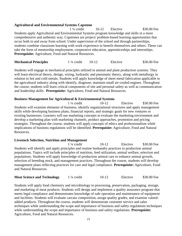#### **Agricultural and Environmental Systems Capstone**

1 <sup>1</sup>/<sub>4</sub> credit 10-12 Elective \$30.00 Fee Students apply Agricultural and Environmental Systems program knowledge and skills in a more comprehensive and authentic way. Capstones are project/ problem-based learning opportunities that occur both in and away from school. Under supervision of the school and through partnerships, students combine classroom learning with work experience to benefit themselves and others. These can take the form of mentorship employment, cooperative education, apprenticeships and internships. **Prerequisite:** Agriculture, Food and Natural Resources.

| <b>Mechanical Principles</b> | $1\frac{1}{4}$ credit | $10-12$ | Elective | \$30.00 Fee |
|------------------------------|-----------------------|---------|----------|-------------|
|------------------------------|-----------------------|---------|----------|-------------|

Students will engage in mechanical principles utilized in animal and plant production systems. They will learn electrical theory, design, wiring, hydraulic and pneumatic theory, along with metallurgy in relation to hot and cold metals. Students will apply knowledge of sheet metal fabrication applicable to the agricultural industry along with identify, diagnose, maintain small air-cooled engines. Throughout the course, students will learn critical components of site and personal safety as well as communication and leadership skills. **Prerequisite:** Agriculture, Food and Natural Resources.

#### **Business Management for Agricultural & Environmental Systems**

1 ¼ credit 10-12 Elective \$30.00 Fee Students will examine elements of business, identify organizational structures and apply management skills while developing business plans, financial reports, and strategic goals for new ventures or existing businesses. Learners will use marketing concepts to evaluate the marketing environment and develop a marketing plan with marketing channels, product approaches, promotion and pricing strategies. Throughout the course, students will apply concepts of ethics and professionalism while implications of business regulations will be identified. **Prerequisite:** Agriculture, Food and Natural Resources.

#### **Livestock Selection, Nutrition and Management**

1 ¼ credit 10-12 Elective \$30.00 Fee Students will identify and apply principles and routine husbandry practices to production animal populations. Topics will include principles of nutrition, feed utilization, animal welfare, selection and populations. Students will apply knowledge of production animal care to enhance animal growth, selection of breeding stock, and management practices. Throughout the course, students will develop management plans reflecting practices for care and legal compliance. **Prerequisite:** Agriculture, Food and Natural Resources.

| <b>Meat Science and Technology</b> | $1\frac{1}{4}$ credit | $10-12$ | Elective | \$30.00 Fee |
|------------------------------------|-----------------------|---------|----------|-------------|
|------------------------------------|-----------------------|---------|----------|-------------|

Students will apply food chemistry and microbiology to processing, preservation, packaging, storage, and marketing of meat products. Students will design and implement a quality assurance program that meets legal compliance and demonstrates knowledge of safe operation and maintenance of equipment and facilities. Students will evaluate carcass composition, assign quality grades, and examine valuedadded products. Throughout the course, students will demonstrate customer service and sales techniques while understanding the scope and importance of business and safety regulations techniques while understanding the scope and importance of business and safety regulations. **Prerequisite:** Agriculture, Food and Natural Resources.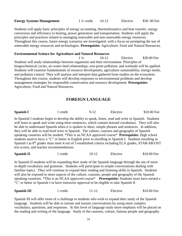| <b>Energy Systems Management</b> | $1\frac{1}{4}$ credit | $10-12$ | Elective | \$30.00 Fee |
|----------------------------------|-----------------------|---------|----------|-------------|
|----------------------------------|-----------------------|---------|----------|-------------|

Students will apply basic principles of energy accounting, thermodynamics and heat transfer, energy conversion and efficiency to heating, power generation and transportation. Students will apply the principles and practices related to managing renewable and non-renewable energy resources. Throughout this course, future energy scenarios are investigated, with a focus on prompting the use of renewable energy resources and technologies. **Prerequisite:** Agriculture, Food and Natural Resources.

#### **Environmental Science for Agriculture and Natural Resources**

1 ¼ 10-12 Elective \$30.00 Fee Students will study relationships between organisms and their environment. Principles of biogeochemical cycles, air-water-land relationships, non-point pollution, and wetlands will be applied. Students will examine fundamentals of resource development, agriculture sustainability, energy needs, and pollution control. They will analyze and interpret data gathered from studies on the ecosystem. Throughout this course, students will develop responses to environmental problems and develop management strategies for responsible conservation and resource development. **Prerequisite:** Agriculture, Food and Natural Resources.

#### **FOREIGN LANGUAGE**

| Spanish I | l credit | $9-12$ | Elective | \$10.00 Fee |
|-----------|----------|--------|----------|-------------|
|           |          |        |          |             |

In Spanish I students begin to develop the ability to speak, listen, read and write in Spanish. Students will learn to speak and write using short sentences, which contain learned vocabulary. They will also be able to understand Spanish when it is spoken in short, simple phrases and sentences. In addition, they will be able to read brief texts in Spanish. The culture, customs and geography of Spanish speaking countries will be studied. \*This is an NCAA approved course\* **Prerequisite:** High school students need to have a "C" or better in English prior to enrolling in Spanish I. Students enrolling in Spanish I as 8<sup>th</sup> grader must meet 4 out of 5 established criteria including ELA grades, STAR/AR/OST test scores, and teacher recommendations.

| <b>Spanish II</b> | credit | 10-12 | Elective | \$10.00 Fee |
|-------------------|--------|-------|----------|-------------|
|-------------------|--------|-------|----------|-------------|

In Spanish II students will be expanding their study of the Spanish language through the use of more in-depth vocabulary and grammar. Students will participate in simple conversations dealing with familiar topics. They will continue to expand their reading and listening skills in Spanish. Students will also be exposed to more aspects of the culture, customs, people and geography of the Spanish speaking countries. \*This is an NCAA approved course\* **Prerequisite:** Students must have earned a "C" or better in Spanish I or have instructor approval to be eligible to take Spanish II

| <b>Spanish III</b> | credit |  | Elective | \$10.00 Fee |
|--------------------|--------|--|----------|-------------|
|--------------------|--------|--|----------|-------------|

Spanish III will offer more of a challenge to students who wish to expand their study of the Spanish language. Students will be able to initiate and sustain conversations by using more complex vocabulary, questions, and responses. At this level of language study more emphasis will be placed on the reading and writing of the language. Study of the customs, culture, famous people and geography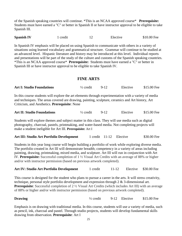of the Spanish speaking countries will continue. \*This is an NCAA approved course\* **Prerequisite:**  Students must have earned a "C" or better in Spanish II or have instructor approval to be eligible to take Spanish III.

| <b>Spanish IV</b> | credit | Elective | \$10.00 Fee |
|-------------------|--------|----------|-------------|
|                   |        |          |             |

In Spanish IV emphasis will be placed on using Spanish to communicate with others in a variety of situations using learned vocabulary and grammatical structure. Grammar will continue to be studied at an advanced level. Hispanic literature and history may be introduced at this level. Individual reports and presentations will be part of the study of the culture and customs of the Spanish speaking countries. \*This is an NCAA approved course\* **Prerequisite:** Students must have earned a "C" or better in Spanish III or have instructor approval to be eligible to take Spanish IV.

#### **FINE ARTS**

| <b>Art I: Studio Foundations</b> | $\frac{1}{2}$ credit |  | Elective | \$15.00 Fee |
|----------------------------------|----------------------|--|----------|-------------|
|----------------------------------|----------------------|--|----------|-------------|

In this course students will explore the art elements through experimentation with a variety of media and techniques. The areas covered are drawing, painting, sculpture, ceramics and Art history, Art Criticism, and Aesthetics. **Prerequisite**: None

| <b>Art II: Studio Foundations</b> | $\frac{1}{2}$ credit |  | Elective | \$15.00 Fee |
|-----------------------------------|----------------------|--|----------|-------------|
|-----------------------------------|----------------------|--|----------|-------------|

Students will explore themes and subject matter in this class. They will use media such as digital photography, charcoal, pastels, printmaking, and water-based media. Not completing projects will make a student ineligible for Art III. **Prerequisite:** Art I

| <b>Art III: Studio Art Portfolio Development</b> |  |  | 1 credit 11-12 Elective | \$30.00 Fee |
|--------------------------------------------------|--|--|-------------------------|-------------|
|--------------------------------------------------|--|--|-------------------------|-------------|

Students in this year long course will begin building a portfolio of work while exploring diverse media. The portfolio created in Art III will demonstrate breadth; competency in a variety of areas including painting, drawing, printmaking, mixed media, and sculpture. Art III will run in conjunction with Art IV. **Prerequisite:** Successful completion of 1 ½ Visual Art Credits with an average of 88% or higher and/or with instructor permission (based on previous artwork completed).

| <b>Art IV: Studio Art Portfolio Development</b> | 1 credit | $11 - 12$ |  | Elective \$30.00 Fee |
|-------------------------------------------------|----------|-----------|--|----------------------|
|-------------------------------------------------|----------|-----------|--|----------------------|

This course is designed for the student who plans to pursue a career in the arts. It will stress creativity, technique, personal style portfolio development and expression through 2 & 3-dimensional art. **Prerequisite**: Successful completion of 2  $\frac{1}{2}$  Visual Art Credits (which includes Art III) with an average of 88% or higher and/or with instructor permission (based on previous artwork completed).

**Drawing**  $\frac{1}{2}$  credit  $\frac{9-12}{2}$  Elective \$15.00 Fee

Emphasis is on drawing with traditional media. In this course, students will use a variety of media, such as pencil, ink, charcoal and pastel. Through studio projects, students will develop fundamental skills drawing from observation. **Prerequisite**: Art I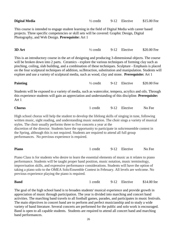| <b>Digital Media</b>                                                                                                                                                                                                                                                                                                                                                                                                                                                                                                                               | $\frac{1}{2}$ credit |        | 9-12 Elective | \$15.00 Fee |  |
|----------------------------------------------------------------------------------------------------------------------------------------------------------------------------------------------------------------------------------------------------------------------------------------------------------------------------------------------------------------------------------------------------------------------------------------------------------------------------------------------------------------------------------------------------|----------------------|--------|---------------|-------------|--|
| This course is intended to engage student learning in the field of Digital Media with career based<br>projects. Three specific competencies or skill sets will be covered: Graphic Design, Digital<br>Photography, and Web Design. Prerequisite: Art 1                                                                                                                                                                                                                                                                                             |                      |        |               |             |  |
| 3D Art                                                                                                                                                                                                                                                                                                                                                                                                                                                                                                                                             | $\frac{1}{2}$ credit | $9-12$ | Elective      | \$20.00 Fee |  |
| This is an introductory course in the art of designing and producing 3-dimensional objects. The course<br>will be broken down into 2 parts. Ceramics - explore the various techniques of forming clay such as<br>pinching, coiling, slab building, and a combination of these techniques. Sculpture - Emphasis is placed<br>on the four sculptural techniques of addition, su3btraction, substitution and manipulation. Students will<br>explore and use a variety of sculptural media, such as wood, clay and stone. Prerequisite: Art 1          |                      |        |               |             |  |
| <b>Painting</b>                                                                                                                                                                                                                                                                                                                                                                                                                                                                                                                                    | $\frac{1}{2}$ credit | $9-12$ | Elective      | \$20.00 Fee |  |
| Students will be exposed to a variety of media, such as watercolor, tempera, acrylics and oils. Through<br>this experience students will gain an appreciation and understanding of this discipline. Prerequisite:<br>Art 1                                                                                                                                                                                                                                                                                                                         |                      |        |               |             |  |
| <b>Chorus</b>                                                                                                                                                                                                                                                                                                                                                                                                                                                                                                                                      | 1 credit             | $9-12$ | Elective      | No Fee      |  |
| High school chorus will help the student to develop the lifelong skills of singing in tune, following<br>written music, sight reading, and understanding music notation. The choir sings a variety of musical<br>styles. The choir usually performs three to five concerts a year at the<br>discretion of the director. Students have the opportunity to participate in solo/ensemble contest in<br>the Spring, although this is not required. Students are required to attend all full group<br>performances. No previous experience is required. |                      |        |               |             |  |
| <b>Piano</b>                                                                                                                                                                                                                                                                                                                                                                                                                                                                                                                                       | 1 credit             | $9-12$ | Elective      | No Fee      |  |
| Piano Class is for students who desire to learn the essential elements of music as it relates to piano<br>performance. Students will be taught proper hand position, music notation, music terminology,<br>improvisation skills, and expressive performance considerations. Students will have the option of<br>taking a piano solo to the OMEA Solo/Ensemble Contest in February. All levels are welcome. No<br>previous experience playing the piano is required.                                                                                |                      |        |               |             |  |
| <b>Band</b>                                                                                                                                                                                                                                                                                                                                                                                                                                                                                                                                        | 1 credit             | $9-12$ | Elective      | \$14.00 fee |  |
| The goal of the high school band is to broaden students' musical experience and provide growth in                                                                                                                                                                                                                                                                                                                                                                                                                                                  |                      |        |               |             |  |

appreciation of music through participation. The year is divided into marching and concert band activities. The marching band travels to all football games, parades, and participates in music festivals. The main objectives in concert band are to perform and perfect musicianship and to study a wide variety of band literature. Several concerts are performed for the public and solo work is encouraged. Band is open to all capable students. Students are required to attend all concert band and marching band performances.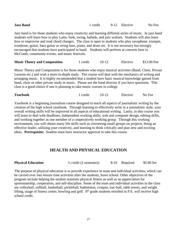| <b>Jazz Band</b>                                                                                                                                                                                                                                                                                                                                                                                                                                                                                                                                                                      | 1 credit 9-12 Elective |  | No Fee |
|---------------------------------------------------------------------------------------------------------------------------------------------------------------------------------------------------------------------------------------------------------------------------------------------------------------------------------------------------------------------------------------------------------------------------------------------------------------------------------------------------------------------------------------------------------------------------------------|------------------------|--|--------|
| Jazz band is for those students who enjoy creativity and learning different styles of music. In jazz band<br>students will learn how to play Latin, funk, swing, ballads, and jazz waltzes. Students will also learn<br>how to improvise and read chord changes. The class is open to students who play saxophone, trumpet,<br>trombone, guitar, bass guitar or string bass, piano, and drum set. It is not necessary but strongly<br>encouraged that students have participated in band. Students will perform at concerts here in<br>McComb, community events, and music festivals. |                        |  |        |
|                                                                                                                                                                                                                                                                                                                                                                                                                                                                                                                                                                                       |                        |  |        |

**Music Theory and Composition** 1 credit 10-12 Elective \$13.00 Fee

Music Theory and Composition is for those students who enjoy musical activities (Band, Choir, Private Lessons etc.) and wish a more in-depth study. The course will deal with the mechanics of writing and arranging music. It is highly recommended that a student have basic musical knowledge gained from band, choir or other private study in music. Please see the band director if you have questions. This class is a good choice if one is planning to take music courses in college.

| <b>Yearbook</b><br>credit | Elective | No Fee |
|---------------------------|----------|--------|
|                           |          |        |

Yearbook is a beginning journalism course designed to teach all aspects of journalistic writing by the creation of the high school yearbook. Through learning to effectively write in a journalistic style, your overall writing skills will be improved in all aspects of educational writing. Lastly, in this course you will learn to deal with deadlines, independent working skills, web and computer design, editing skills, and working together as one member of a cooperatively working group. Through this working environment, you will obtain many life skills such as overseeing small groups on projects, being an effective leader, utilizing your creativity, and learning to think critically and plan new and exciting ideas. **Prerequisite:** Student must have instructor approval to take this course.

### **HEALTH AND PHYSICAL EDUCATION**

| \$5.00 fee |
|------------|
|            |

The purpose of physical education is to provide experience in team and individual activities, which can be carried over into leisure time activities after the students, leave school. Other objectives of the program include helping the student maintain physical fitness as well as an appreciation for sportsmanship, cooperation, and self-discipline. Some of the team and individual activities in the class are volleyball, softball, basketball, pickleball, badminton, croquet, trac-ball, table tennis, and weight lifting, usage of fitness center, bowling and golf.  $8<sup>th</sup>$  grade students enrolled in P.E. will receive high school credit.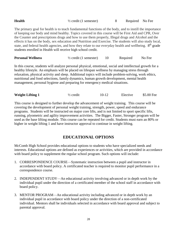| Required No Fee |
|-----------------|

The primary goal for health is to teach fundamental functions of the body, and to instill the importance of keeping our body and mind healthy. Topics covered in this course will be First Aid and CPR, Over the Counter and prescriptions drugs and how to use them properly, Illegal drugs and Alcohol and the effects it has on the body, sex education and Nutrition and Exercise. The students will also study local, state, and federal health agencies, and how they relate to our everyday health and wellbeing. 8<sup>th</sup> grade students enrolled in Health will receive high school credit.

| <b>Personal Wellness</b> | $\frac{1}{2}$ credit (1 semester) | Required | No Fee |
|--------------------------|-----------------------------------|----------|--------|
|                          |                                   |          |        |

In this course, students will analyze personal physical, emotional, social and intellectual growth for a healthy lifestyle. An emphasis will be placed on lifespan wellness by managing stress through relaxation, physical activity and sleep. Additional topics will include problem-solving, work ethics, nutritional and food selections, family dynamics, human growth development, mental health management, personal hygiene and preparing for emergency medical situations.

| <b>Weight Lifting 1</b> | $\frac{1}{2}$ credit | $10-12$ | Elective | \$5.00 Fee |
|-------------------------|----------------------|---------|----------|------------|
|-------------------------|----------------------|---------|----------|------------|

This course is designed to further develop the advancement of weight training. This course will be covering the development of personal weight training, strength, power, speed and endurance programs. Students will be instructed on major core lifts, and is not limited to sport specific lifts, running, plyometric and agility improvement activities. The Bigger, Faster, Stronger program will be used as the base lifting module. This course can be repeated for credit. Students must earn an 80% or higher in weight lifting 1 and have instructor approval to continue in weight lifting.

# **EDUCATIONAL OPTIONS**

McComb High School provides educational options to students who have specialized needs and interests. Educational options are defined as experiences or activities, which are provided in accordance with board policy to supplement the regular school program. Such options will include:

- 1. CORRESPONDENCE COURSE—Systematic instruction between a pupil and instructor in accordance with board policy. A certificated teacher is required to monitor pupil performance in a correspondence course.
- 2. INDEPENDENT STUDY—An educational activity involving advanced or in depth work by the individual pupil under the direction of a certificated member of the school staff in accordance with board policy.
- 3. MENTOR PROGRAM—An educational activity including advanced or in depth work by an individual pupil in accordance with board policy under the direction of a non-certificated individual. Mentors shall be individuals selected in accordance with board approval and subject to parental approval.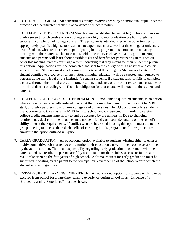- 4. TUTORIAL PROGRAM—An educational activity involving work by an individual pupil under the direction of a certificated teacher in accordance with board policy.
- 5. COLLEGE CREDIT PLUS PROGRAM—Has been established to permit high school students in grades seven through twelve to earn college and/or high school graduation credit through the successful completion of college courses. The program is intended to provide opportunities for appropriately qualified high school students to experience course work at the college or university level. Students who are interested in participating in this program must come to a mandatory meeting with their parents. This meeting is held in February each year. At this group meeting, students and parents will learn about possible risks and benefits for participating in this option. After this meeting, parents must sign a form indicating that they intend for their student to pursue this option. Applications must be completed and sent to the college with a transcript and course selection form. Students must meet admissions criteria at the college he/she wishes to attend. Any student admitted to a course by an institution of higher education will be expected and required to perform at the same level as the institution's regular students. If a student fails, or fails to complete a course through the formal class drop process, nonattendance, or any other reason unacceptable to the school district or college, the financial obligation for that course will default to the student and parents.
- 6. COLLEGE CREDIT PLUS: DUAL ENROLLMENT—Available to qualified students, is an option where students can take college-level classes at their home school environment, taught by MBHS staff, through a partnership with area colleges and universities. The D.E. program offers students the opportunity to take classes at MHS for high school and college credit. In order to receive college credit, students must apply to and be accepted by the university. Due to changing requirements, dual enrollment courses may not be offered each year, depending on the school's ability to meet the requirements. \*Families who are interested in using this option must attend the group meeting to discuss the risks/benefits of enrolling in this program and follow procedures similar to the option outlined in Option 5.
- 7. EARLY GRADUATION—An educational option available to students wishing either to enter a highly competitive job market, go on to further their education early, or other reasons as approved by the administration. The final responsibility regarding early graduation must remain with the parents, and as a result, the parents are fully accountable for their child's success or failure as a result of shortening the four years of high school. A formal request for early graduation must be submitted in writing by the parent to the principal by November  $1<sup>st</sup>$  of the school year in which the student wishes to graduate.
- 8. EXTRA-GUIDED LEARNING EXPERIENCE—An educational option for students wishing to be excused from school for a part-time learning experience during school hours. Evidence of a "Guided Learning Experience" must be shown.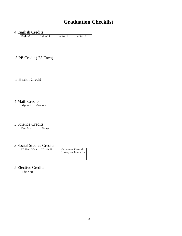# **Graduation Checklist**

## 4 English Credits

| English 9 | English 10 | English 11 | English 12 |
|-----------|------------|------------|------------|
|           |            |            |            |
|           |            |            |            |
|           |            |            |            |

# .5 PE Credit (.25 Each)



# .5 Health Credit



#### 4 Math Credits

|           | ---      |  |
|-----------|----------|--|
| Algebra 1 | Geometry |  |
|           |          |  |
|           |          |  |
|           |          |  |

# 3 Science Credits

| Phys. Sci. | <b>Biology</b> |  |
|------------|----------------|--|
|            |                |  |
|            |                |  |
|            |                |  |

# 3 Social Studies Credits

| US Hist 1/World | US. Hist II | Government/Financial<br>Literacy and Economics |
|-----------------|-------------|------------------------------------------------|
|                 |             |                                                |

## 5 Elective Credits

| 1 fine art |  |
|------------|--|
|            |  |
|            |  |
|            |  |